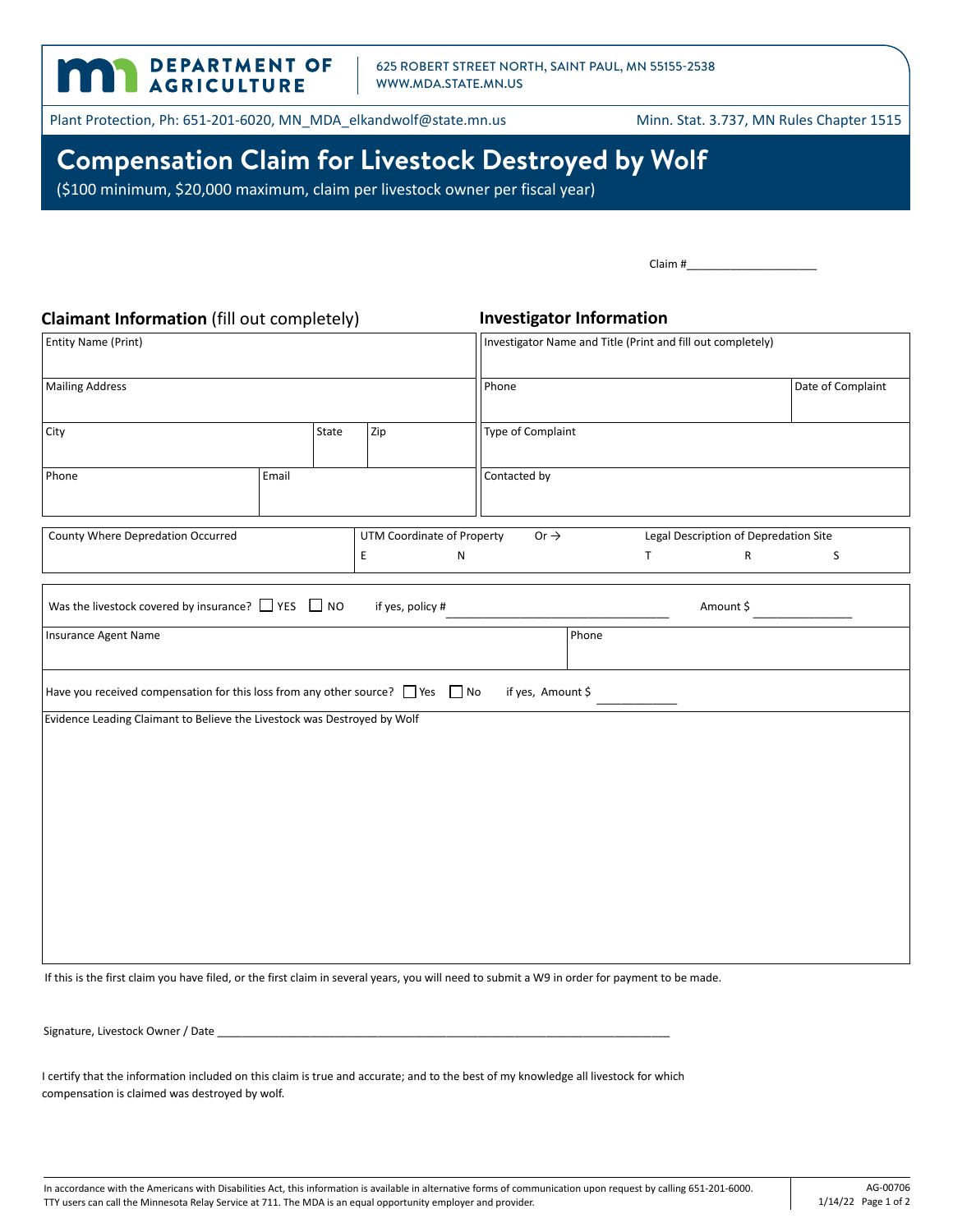625 ROBERT STREET NORTH, SAINT PAUL, MN 55155-2538 WWW.MDA.STATE.MN.US

Plant Protection, Ph: 651-201-6020, MN\_MDA\_elkandwolf@state.mn.us Minn. Stat. 3.737, MN Rules Chapter 1515

DEPARTMENT OF

**n** 

## **Compensation Claim for Livestock Destroyed by Wolf**

(\$100 minimum, \$20,000 maximum, claim per livestock owner per fiscal year)

| Claimant Information (fill out completely)                                               |       |  |                                                             | <b>Investigator Information</b>   |                   |        |  |                                       |                   |
|------------------------------------------------------------------------------------------|-------|--|-------------------------------------------------------------|-----------------------------------|-------------------|--------|--|---------------------------------------|-------------------|
| <b>Entity Name (Print)</b>                                                               |       |  | Investigator Name and Title (Print and fill out completely) |                                   |                   |        |  |                                       |                   |
| <b>Mailing Address</b>                                                                   |       |  |                                                             |                                   | Phone             |        |  |                                       | Date of Complaint |
| State<br>Zip<br>City                                                                     |       |  |                                                             | Type of Complaint                 |                   |        |  |                                       |                   |
| Phone                                                                                    | Email |  |                                                             |                                   | Contacted by      |        |  |                                       |                   |
| County Where Depredation Occurred                                                        |       |  |                                                             | <b>UTM Coordinate of Property</b> | Or $\rightarrow$  |        |  | Legal Description of Depredation Site |                   |
|                                                                                          |       |  | Е                                                           | ${\sf N}$                         |                   | $\top$ |  | R                                     | S                 |
| Was the livestock covered by insurance? $\Box$ YES $\Box$ NO<br>Insurance Agent Name     |       |  | if yes, policy #                                            |                                   |                   | Phone  |  | Amount \$                             |                   |
| Have you received compensation for this loss from any other source? $\Box$ Yes $\Box$ No |       |  |                                                             |                                   | if yes, Amount \$ |        |  |                                       |                   |
| Evidence Leading Claimant to Believe the Livestock was Destroyed by Wolf                 |       |  |                                                             |                                   |                   |        |  |                                       |                   |
|                                                                                          |       |  |                                                             |                                   |                   |        |  |                                       |                   |
|                                                                                          |       |  |                                                             |                                   |                   |        |  |                                       |                   |
|                                                                                          |       |  |                                                             |                                   |                   |        |  |                                       |                   |
|                                                                                          |       |  |                                                             |                                   |                   |        |  |                                       |                   |
|                                                                                          |       |  |                                                             |                                   |                   |        |  |                                       |                   |
|                                                                                          |       |  |                                                             |                                   |                   |        |  |                                       |                   |
|                                                                                          |       |  |                                                             |                                   |                   |        |  |                                       |                   |

If this is the first claim you have filed, or the first claim in several years, you will need to submit a W9 in order for payment to be made.

Signature, Livestock Owner / Date

I certify that the information included on this claim is true and accurate; and to the best of my knowledge all livestock for which compensation is claimed was destroyed by wolf.